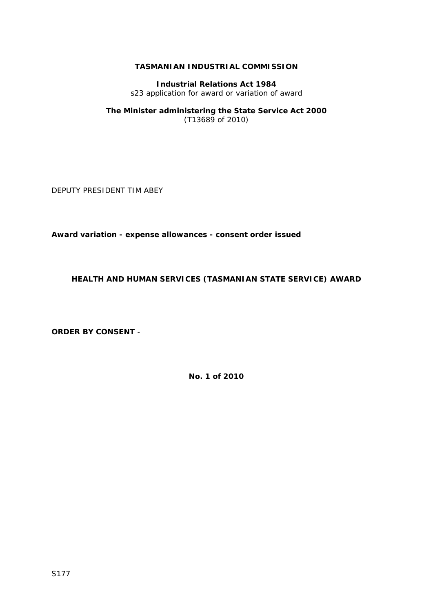# **TASMANIAN INDUSTRIAL COMMISSION**

**Industrial Relations Act 1984**  s23 application for award or variation of award

### **The Minister administering the State Service Act 2000**  (T13689 of 2010)

DEPUTY PRESIDENT TIM ABEY

**Award variation - expense allowances - consent order issued** 

**HEALTH AND HUMAN SERVICES (TASMANIAN STATE SERVICE) AWARD** 

**ORDER BY CONSENT** -

**No. 1 of 2010**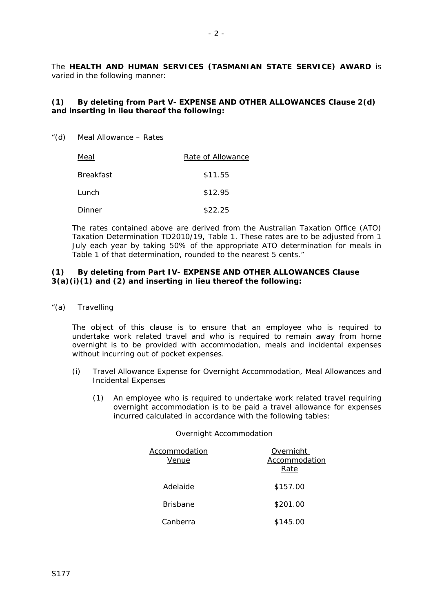The **HEALTH AND HUMAN SERVICES (TASMANIAN STATE SERVICE) AWARD** is varied in the following manner:

## **(1) By deleting from Part V- EXPENSE AND OTHER ALLOWANCES Clause 2(d) and inserting in lieu thereof the following:**

"(d) Meal Allowance – Rates

| Meal      | Rate of Allowance |  |
|-----------|-------------------|--|
| Breakfast | \$11.55           |  |
| Lunch     | \$12.95           |  |
| Dinner    | \$22.25           |  |

The rates contained above are derived from the Australian Taxation Office (ATO) Taxation Determination TD2010/19, Table 1. These rates are to be adjusted from 1 July each year by taking 50% of the appropriate ATO determination for meals in Table 1 of that determination, rounded to the nearest 5 cents."

# **(1) By deleting from Part IV- EXPENSE AND OTHER ALLOWANCES Clause 3(a)(i)(1) and (2) and inserting in lieu thereof the following:**

"(a) Travelling

The object of this clause is to ensure that an employee who is required to undertake work related travel and who is required to remain away from home overnight is to be provided with accommodation, meals and incidental expenses without incurring out of pocket expenses.

- (i) Travel Allowance Expense for Overnight Accommodation, Meal Allowances and Incidental Expenses
	- (1) An employee who is required to undertake work related travel requiring overnight accommodation is to be paid a travel allowance for expenses incurred calculated in accordance with the following tables:

#### Overnight Accommodation

| Accommodation<br>Venue | Overnight<br>Accommodation<br>Rate |  |
|------------------------|------------------------------------|--|
| Adelaide               | \$157.00                           |  |
| <b>Brisbane</b>        | \$201.00                           |  |
| Canberra               | \$145.00                           |  |